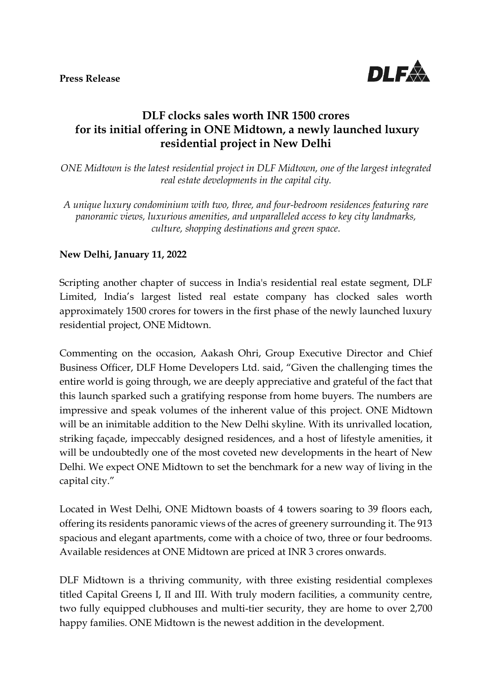

## **DLF clocks sales worth INR 1500 crores for its initial offering in ONE Midtown, a newly launched luxury residential project in New Delhi**

*ONE Midtown is the latest residential project in DLF Midtown, one of the largest integrated real estate developments in the capital city.*

*A unique luxury condominium with two, three, and four-bedroom residences featuring rare panoramic views, luxurious amenities, and unparalleled access to key city landmarks, culture, shopping destinations and green space.*

## **New Delhi, January 11, 2022**

Scripting another chapter of success in India's residential real estate segment, DLF Limited, India's largest listed real estate company has clocked sales worth approximately 1500 crores for towers in the first phase of the newly launched luxury residential project, ONE Midtown.

Commenting on the occasion, Aakash Ohri, Group Executive Director and Chief Business Officer, DLF Home Developers Ltd. said, "Given the challenging times the entire world is going through, we are deeply appreciative and grateful of the fact that this launch sparked such a gratifying response from home buyers. The numbers are impressive and speak volumes of the inherent value of this project. ONE Midtown will be an inimitable addition to the New Delhi skyline. With its unrivalled location, striking façade, impeccably designed residences, and a host of lifestyle amenities, it will be undoubtedly one of the most coveted new developments in the heart of New Delhi. We expect ONE Midtown to set the benchmark for a new way of living in the capital city."

Located in West Delhi, ONE Midtown boasts of 4 towers soaring to 39 floors each, offering its residents panoramic views of the acres of greenery surrounding it. The 913 spacious and elegant apartments, come with a choice of two, three or four bedrooms. Available residences at ONE Midtown are priced at INR 3 crores onwards.

DLF Midtown is a thriving community, with three existing residential complexes titled Capital Greens I, II and III. With truly modern facilities, a community centre, two fully equipped clubhouses and multi-tier security, they are home to over 2,700 happy families. ONE Midtown is the newest addition in the development.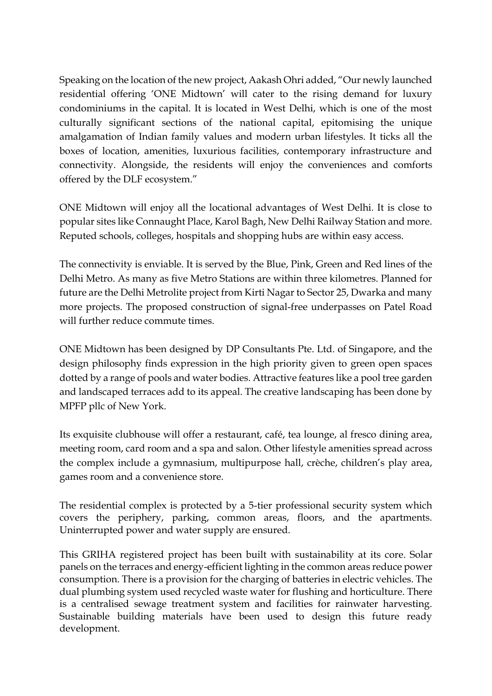Speaking on the location of the new project, Aakash Ohri added, "Our newly launched residential offering 'ONE Midtown' will cater to the rising demand for luxury condominiums in the capital. It is located in West Delhi, which is one of the most culturally significant sections of the national capital, epitomising the unique amalgamation of Indian family values and modern urban lifestyles. It ticks all the boxes of location, amenities, luxurious facilities, contemporary infrastructure and connectivity. Alongside, the residents will enjoy the conveniences and comforts offered by the DLF ecosystem."

ONE Midtown will enjoy all the locational advantages of West Delhi. It is close to popular sites like Connaught Place, Karol Bagh, New Delhi Railway Station and more. Reputed schools, colleges, hospitals and shopping hubs are within easy access.

The connectivity is enviable. It is served by the Blue, Pink, Green and Red lines of the Delhi Metro. As many as five Metro Stations are within three kilometres. Planned for future are the Delhi Metrolite project from Kirti Nagar to Sector 25, Dwarka and many more projects. The proposed construction of signal-free underpasses on Patel Road will further reduce commute times.

ONE Midtown has been designed by DP Consultants Pte. Ltd. of Singapore, and the design philosophy finds expression in the high priority given to green open spaces dotted by a range of pools and water bodies. Attractive features like a pool tree garden and landscaped terraces add to its appeal. The creative landscaping has been done by MPFP pllc of New York.

Its exquisite clubhouse will offer a restaurant, café, tea lounge, al fresco dining area, meeting room, card room and a spa and salon. Other lifestyle amenities spread across the complex include a gymnasium, multipurpose hall, crèche, children's play area, games room and a convenience store.

The residential complex is protected by a 5-tier professional security system which covers the periphery, parking, common areas, floors, and the apartments. Uninterrupted power and water supply are ensured.

This GRIHA registered project has been built with sustainability at its core. Solar panels on the terraces and energy-efficient lighting in the common areas reduce power consumption. There is a provision for the charging of batteries in electric vehicles. The dual plumbing system used recycled waste water for flushing and horticulture. There is a centralised sewage treatment system and facilities for rainwater harvesting. Sustainable building materials have been used to design this future ready development.